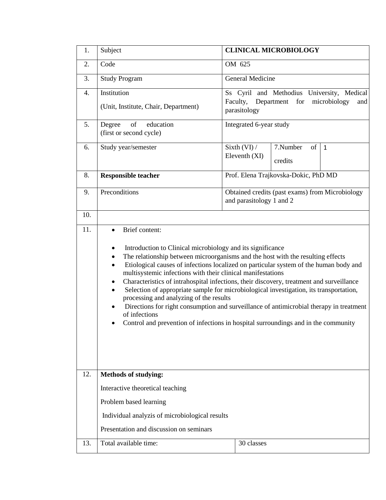| 1.               | Subject                                                                                                                                                                                                                                                                                                                                                                                                                                                                                                                                                                                                                                                                                                                                                                      | <b>CLINICAL MICROBIOLOGY</b>                                                                                    |                           |              |  |
|------------------|------------------------------------------------------------------------------------------------------------------------------------------------------------------------------------------------------------------------------------------------------------------------------------------------------------------------------------------------------------------------------------------------------------------------------------------------------------------------------------------------------------------------------------------------------------------------------------------------------------------------------------------------------------------------------------------------------------------------------------------------------------------------------|-----------------------------------------------------------------------------------------------------------------|---------------------------|--------------|--|
| 2.               | Code                                                                                                                                                                                                                                                                                                                                                                                                                                                                                                                                                                                                                                                                                                                                                                         | OM 625                                                                                                          |                           |              |  |
| 3.               | <b>Study Program</b>                                                                                                                                                                                                                                                                                                                                                                                                                                                                                                                                                                                                                                                                                                                                                         | General Medicine                                                                                                |                           |              |  |
| $\overline{4}$ . | Institution<br>(Unit, Institute, Chair, Department)                                                                                                                                                                                                                                                                                                                                                                                                                                                                                                                                                                                                                                                                                                                          | Ss Cyril and Methodius University, Medical<br>Faculty, Department<br>for<br>microbiology<br>and<br>parasitology |                           |              |  |
| 5.               | of<br>education<br>Degree<br>(first or second cycle)                                                                                                                                                                                                                                                                                                                                                                                                                                                                                                                                                                                                                                                                                                                         | Integrated 6-year study                                                                                         |                           |              |  |
| 6.               | Study year/semester                                                                                                                                                                                                                                                                                                                                                                                                                                                                                                                                                                                                                                                                                                                                                          | Sixth (VI) /<br>Eleventh (XI)                                                                                   | 7.Number<br>of<br>credits | $\mathbf{1}$ |  |
| 8.               | <b>Responsible teacher</b>                                                                                                                                                                                                                                                                                                                                                                                                                                                                                                                                                                                                                                                                                                                                                   | Prof. Elena Trajkovska-Dokic, PhD MD                                                                            |                           |              |  |
| 9.               | Preconditions                                                                                                                                                                                                                                                                                                                                                                                                                                                                                                                                                                                                                                                                                                                                                                | Obtained credits (past exams) from Microbiology<br>and parasitology 1 and 2                                     |                           |              |  |
| 10.              |                                                                                                                                                                                                                                                                                                                                                                                                                                                                                                                                                                                                                                                                                                                                                                              |                                                                                                                 |                           |              |  |
| 11.              | Brief content:<br>Introduction to Clinical microbiology and its significance<br>The relationship between microorganisms and the host with the resulting effects<br>Etiological causes of infections localized on particular system of the human body and<br>$\bullet$<br>multisystemic infections with their clinical manifestations<br>Characteristics of intrahospital infections, their discovery, treatment and surveillance<br>Selection of appropriate sample for microbiological investigation, its transportation,<br>processing and analyzing of the results<br>Directions for right consumption and surveillance of antimicrobial therapy in treatment<br>٠<br>of infections<br>Control and prevention of infections in hospital surroundings and in the community |                                                                                                                 |                           |              |  |
| 12.              | <b>Methods of studying:</b>                                                                                                                                                                                                                                                                                                                                                                                                                                                                                                                                                                                                                                                                                                                                                  |                                                                                                                 |                           |              |  |
|                  | Interactive theoretical teaching                                                                                                                                                                                                                                                                                                                                                                                                                                                                                                                                                                                                                                                                                                                                             |                                                                                                                 |                           |              |  |
|                  | Problem based learning                                                                                                                                                                                                                                                                                                                                                                                                                                                                                                                                                                                                                                                                                                                                                       |                                                                                                                 |                           |              |  |
|                  | Individual analyzis of microbiological results                                                                                                                                                                                                                                                                                                                                                                                                                                                                                                                                                                                                                                                                                                                               |                                                                                                                 |                           |              |  |
|                  | Presentation and discussion on seminars                                                                                                                                                                                                                                                                                                                                                                                                                                                                                                                                                                                                                                                                                                                                      |                                                                                                                 |                           |              |  |
| 13.              | Total available time:                                                                                                                                                                                                                                                                                                                                                                                                                                                                                                                                                                                                                                                                                                                                                        | 30 classes                                                                                                      |                           |              |  |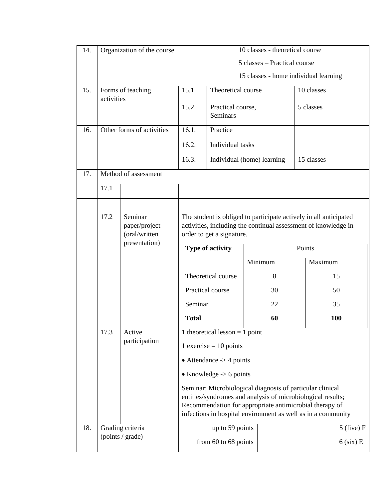| 14. | Organization of the course           |                                                            |                                                                                                                                                                                                                                                     | 10 classes - theoretical course |  |                                       |            |     |
|-----|--------------------------------------|------------------------------------------------------------|-----------------------------------------------------------------------------------------------------------------------------------------------------------------------------------------------------------------------------------------------------|---------------------------------|--|---------------------------------------|------------|-----|
|     |                                      |                                                            |                                                                                                                                                                                                                                                     |                                 |  | 5 classes – Practical course          |            |     |
|     |                                      |                                                            |                                                                                                                                                                                                                                                     |                                 |  | 15 classes - home individual learning |            |     |
| 15. | Forms of teaching<br>activities      |                                                            | 15.1.                                                                                                                                                                                                                                               | Theoretical course              |  |                                       | 10 classes |     |
|     |                                      |                                                            | 15.2.                                                                                                                                                                                                                                               | Practical course,<br>Seminars   |  | 5 classes                             |            |     |
| 16. | Other forms of activities            |                                                            | 16.1.                                                                                                                                                                                                                                               | Practice                        |  |                                       |            |     |
|     |                                      |                                                            | 16.2.                                                                                                                                                                                                                                               | Individual tasks                |  |                                       |            |     |
|     |                                      |                                                            | 16.3.                                                                                                                                                                                                                                               | Individual (home) learning      |  |                                       | 15 classes |     |
| 17. |                                      | Method of assessment                                       |                                                                                                                                                                                                                                                     |                                 |  |                                       |            |     |
|     | 17.1                                 |                                                            |                                                                                                                                                                                                                                                     |                                 |  |                                       |            |     |
|     |                                      |                                                            |                                                                                                                                                                                                                                                     |                                 |  |                                       |            |     |
|     | 17.2                                 | Seminar<br>paper/project<br>(oral/written<br>presentation) | The student is obliged to participate actively in all anticipated<br>activities, including the continual assessment of knowledge in<br>order to get a signature.                                                                                    |                                 |  |                                       |            |     |
|     |                                      |                                                            |                                                                                                                                                                                                                                                     | Type of activity                |  |                                       | Points     |     |
|     |                                      |                                                            |                                                                                                                                                                                                                                                     |                                 |  | Minimum                               | Maximum    |     |
|     |                                      |                                                            |                                                                                                                                                                                                                                                     | Theoretical course              |  | 8                                     |            | 15  |
|     |                                      |                                                            |                                                                                                                                                                                                                                                     | Practical course                |  | 30                                    |            | 50  |
|     |                                      |                                                            | Seminar                                                                                                                                                                                                                                             |                                 |  | 22                                    |            | 35  |
|     |                                      |                                                            | <b>Total</b>                                                                                                                                                                                                                                        |                                 |  | 60                                    |            | 100 |
|     | 17.3                                 | Active<br>participation                                    | 1 theoretical lesson $= 1$ point                                                                                                                                                                                                                    |                                 |  |                                       |            |     |
|     |                                      |                                                            | $1$ exercise = 10 points                                                                                                                                                                                                                            |                                 |  |                                       |            |     |
|     |                                      |                                                            | $\bullet$ Attendance $\rightarrow$ 4 points                                                                                                                                                                                                         |                                 |  |                                       |            |     |
|     |                                      |                                                            | • Knowledge $\rightarrow$ 6 points                                                                                                                                                                                                                  |                                 |  |                                       |            |     |
|     |                                      |                                                            | Seminar: Microbiological diagnosis of particular clinical<br>entities/syndromes and analysis of microbiological results;<br>Recommendation for appropriate antimicrobial therapy of<br>infections in hospital environment as well as in a community |                                 |  |                                       |            |     |
| 18. | Grading criteria<br>(points / grade) |                                                            |                                                                                                                                                                                                                                                     | up to 59 points                 |  | $5$ (five) F                          |            |     |
|     |                                      |                                                            |                                                                                                                                                                                                                                                     | from 60 to 68 points            |  | $6$ (six) E                           |            |     |